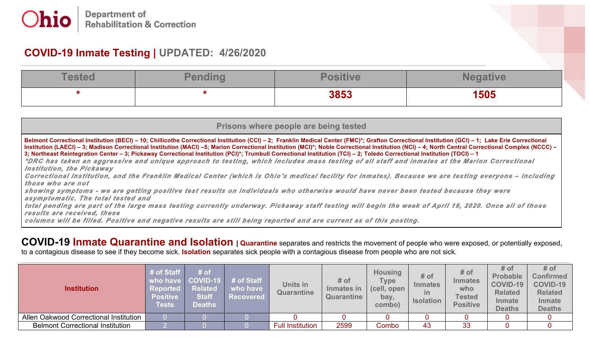## **COVID-19 Inmate Testing | UPDATED: 4/26/2020**

| <b>TARTAR</b> | Donalina |      |      |
|---------------|----------|------|------|
|               |          | 3853 | 1505 |

| Prisons where people are being tested                                                                                                                                                                                                                                                                                                                                                                                                                                                                                                                                                                                                                                                                                                                             |
|-------------------------------------------------------------------------------------------------------------------------------------------------------------------------------------------------------------------------------------------------------------------------------------------------------------------------------------------------------------------------------------------------------------------------------------------------------------------------------------------------------------------------------------------------------------------------------------------------------------------------------------------------------------------------------------------------------------------------------------------------------------------|
| Belmont Correctional Institution (BECI) – 10; Chillicothe Correctional Institution (CCI) – 2; Franklin Medical Center (FMC)*; Grafton Correctional Institution (GCI) – 1; Lake Erie Correctional<br>  Institution (LAECI) – 3; Madison Correctional Institution (MACI) –5; Marion Correctional Institution (MCI)*; Noble Correctional Institution (NCI) – 4; North Central Correctional Complex (NCCC) –<br>3; Northeast Reintegration Center - 3; Pickaway Correctional Institution (PCI)*; Trumbull Correctional Institution (TCI) - 2; Toledo Correctional Institution (TOCI) - 1<br>*DRC has taken an aggressive and unique approach to testing, which includes mass testing of all staff and inmates at the Marion Correctional<br>Institution, the Pickaway |
| Correctional Institution, and the Franklin Medical Center (which is Ohio's medical facility for inmates). Because we are testing everyone - including<br>those who are not                                                                                                                                                                                                                                                                                                                                                                                                                                                                                                                                                                                        |
| showing symptoms - we are getting positive test results on individuals who otherwise would have never been tested because they were<br>asymptomatic. The total tested and                                                                                                                                                                                                                                                                                                                                                                                                                                                                                                                                                                                         |
| total pending are part of the large mass testing currently underway. Pickaway staff testing will begin the week of April 19, 2020. Once all of those<br>results are received, these                                                                                                                                                                                                                                                                                                                                                                                                                                                                                                                                                                               |
| columns will be filled. Positive and negative results are still being reported and are current as of this posting.                                                                                                                                                                                                                                                                                                                                                                                                                                                                                                                                                                                                                                                |

**COVID-19 Inmate Quarantine and Isolation | Quarantine** separates and restricts the movement of people who were exposed, or potentially exposed, to a contagious disease to see if they become sick. **Isolation** separates sick people with a contagious disease from people who are not sick.

| <b>Institution</b>                      | # of Staff<br><b>Reported</b><br><b>Positive</b><br><b>Tests</b> | $\sqrt{t}$ of<br><b>Related</b><br><b>Staff</b><br><b>Deaths</b> | who have COVID-19 # of Staff<br>who have<br><b>Recovered</b> | Units in<br>Quarantine  | # of<br>Inmates in<br>Quarantine | <b>Housing</b><br><b>Type</b><br>(cell, open<br>bay,<br>combo) | # of<br><b>Inmates</b><br>ın<br><b>Isolation</b> | # of<br><b>Inmates</b><br>who<br><b>Tested</b><br><b>Positive</b> | # of<br><b>Probable</b><br><b>COVID-19</b><br><b>Related</b><br><b>Inmate</b><br><b>Deaths</b> | # of<br><b>Confirmed</b><br><b>COVID-19</b><br><b>Related</b><br><b>Inmate</b><br><b>Deaths</b> |
|-----------------------------------------|------------------------------------------------------------------|------------------------------------------------------------------|--------------------------------------------------------------|-------------------------|----------------------------------|----------------------------------------------------------------|--------------------------------------------------|-------------------------------------------------------------------|------------------------------------------------------------------------------------------------|-------------------------------------------------------------------------------------------------|
| Allen Oakwood Correctional Institution  |                                                                  |                                                                  |                                                              |                         |                                  |                                                                |                                                  |                                                                   |                                                                                                |                                                                                                 |
| <b>Belmont Correctional Institution</b> |                                                                  |                                                                  |                                                              | <b>Full Institution</b> | 2599                             | Combo                                                          | 43                                               | 33                                                                |                                                                                                |                                                                                                 |